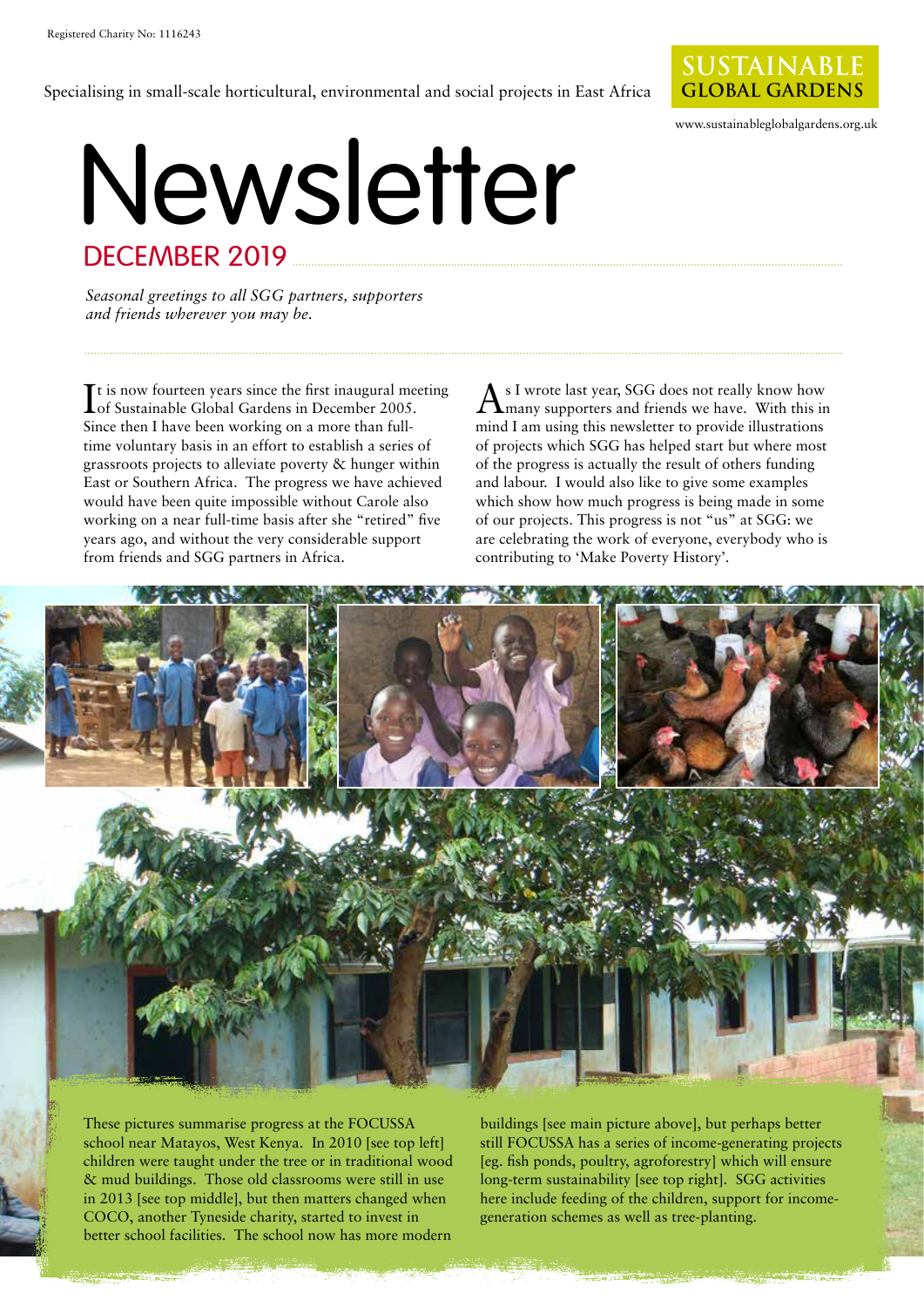Specialising in small-scale horticultural, environmental and social projects in East Africa



www.sustainableglobalgardens.org.uk

### Newsletter DECEMBER 2019

*Seasonal greetings to all SGG partners, supporters and friends wherever you may be.* 

It is now fourteen years since the first inaugural meeting<br>
Iof Sustainable Global Gardens in December 2005. of Sustainable Global Gardens in December 2005. Since then I have been working on a more than fulltime voluntary basis in an effort to establish a series of grassroots projects to alleviate poverty & hunger within East or Southern Africa. The progress we have achieved would have been quite impossible without Carole also working on a near full-time basis after she "retired" five years ago, and without the very considerable support from friends and SGG partners in Africa.

 $A^{\text{s I wrote last year, SGG does not really know how}$  many supporters and friends we have. With this in mind I am using this newsletter to provide illustrations of projects which SGG has helped start but where most of the progress is actually the result of others funding and labour. I would also like to give some examples which show how much progress is being made in some of our projects. This progress is not "us" at SGG: we are celebrating the work of everyone, everybody who is contributing to 'Make Poverty History'.



These pictures summarise progress at the FOCUSSA school near Matayos, West Kenya. In 2010 [see top left] children were taught under the tree or in traditional wood & mud buildings. Those old classrooms were still in use in 2013 [see top middle], but then matters changed when COCO, another Tyneside charity, started to invest in better school facilities. The school now has more modern

buildings [see main picture above], but perhaps better still FOCUSSA has a series of income-generating projects [eg. fish ponds, poultry, agroforestry] which will ensure long-term sustainability [see top right]. SGG activities here include feeding of the children, support for incomegeneration schemes as well as tree-planting.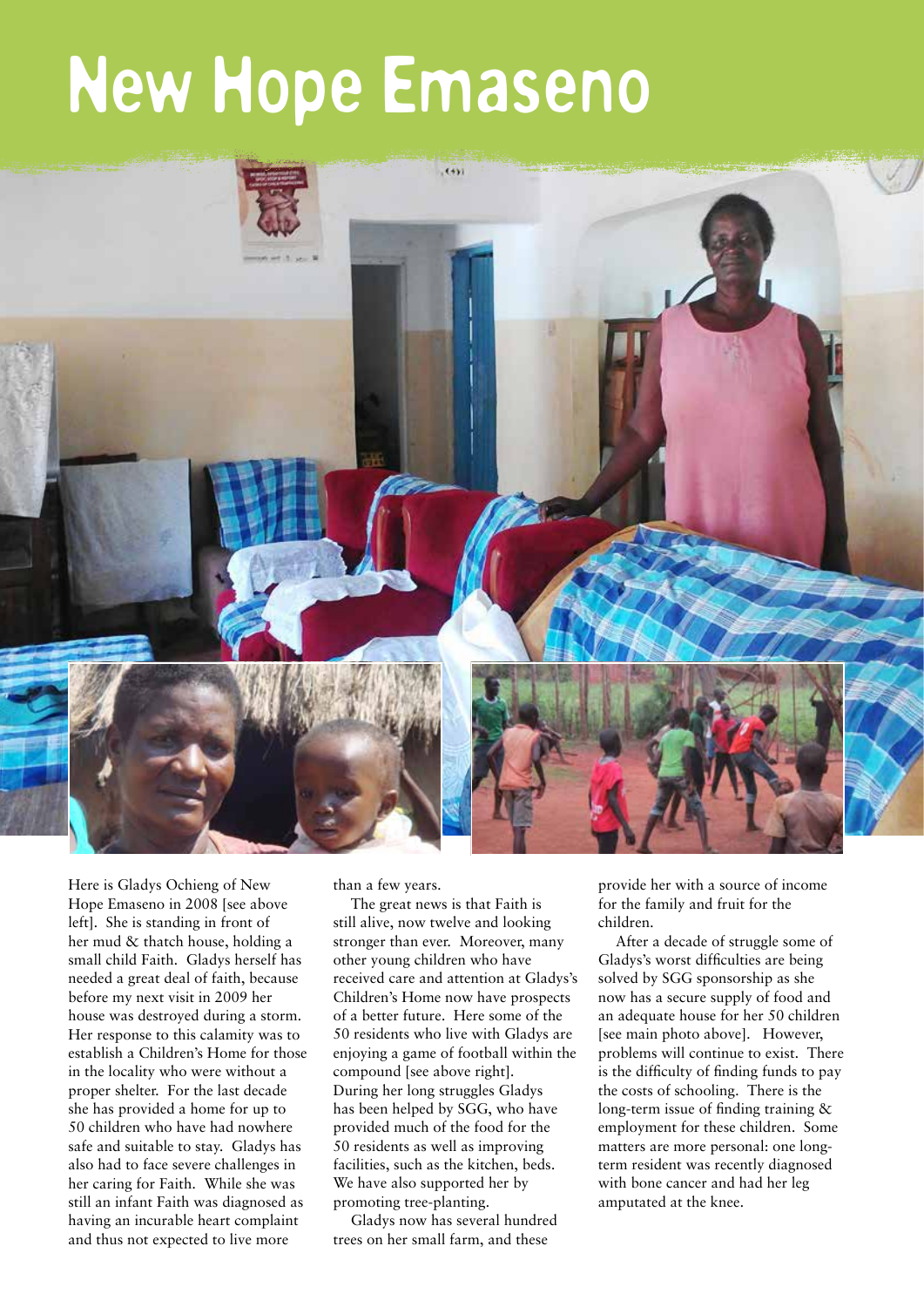## New Hope Emaseno



Here is Gladys Ochieng of New Hope Emaseno in 2008 [see above left]. She is standing in front of her mud & thatch house, holding a small child Faith. Gladys herself has needed a great deal of faith, because before my next visit in 2009 her house was destroyed during a storm. Her response to this calamity was to establish a Children's Home for those in the locality who were without a proper shelter. For the last decade she has provided a home for up to 50 children who have had nowhere safe and suitable to stay. Gladys has also had to face severe challenges in her caring for Faith. While she was still an infant Faith was diagnosed as having an incurable heart complaint and thus not expected to live more

than a few years.

The great news is that Faith is still alive, now twelve and looking stronger than ever. Moreover, many other young children who have received care and attention at Gladys's Children's Home now have prospects of a better future. Here some of the 50 residents who live with Gladys are enjoying a game of football within the compound [see above right]. During her long struggles Gladys has been helped by SGG, who have provided much of the food for the 50 residents as well as improving facilities, such as the kitchen, beds. We have also supported her by promoting tree-planting.

Gladys now has several hundred trees on her small farm, and these

provide her with a source of income for the family and fruit for the children.

After a decade of struggle some of Gladys's worst difficulties are being solved by SGG sponsorship as she now has a secure supply of food and an adequate house for her 50 children [see main photo above]. However, problems will continue to exist. There is the difficulty of finding funds to pay the costs of schooling. There is the long-term issue of finding training & employment for these children. Some matters are more personal: one longterm resident was recently diagnosed with bone cancer and had her leg amputated at the knee.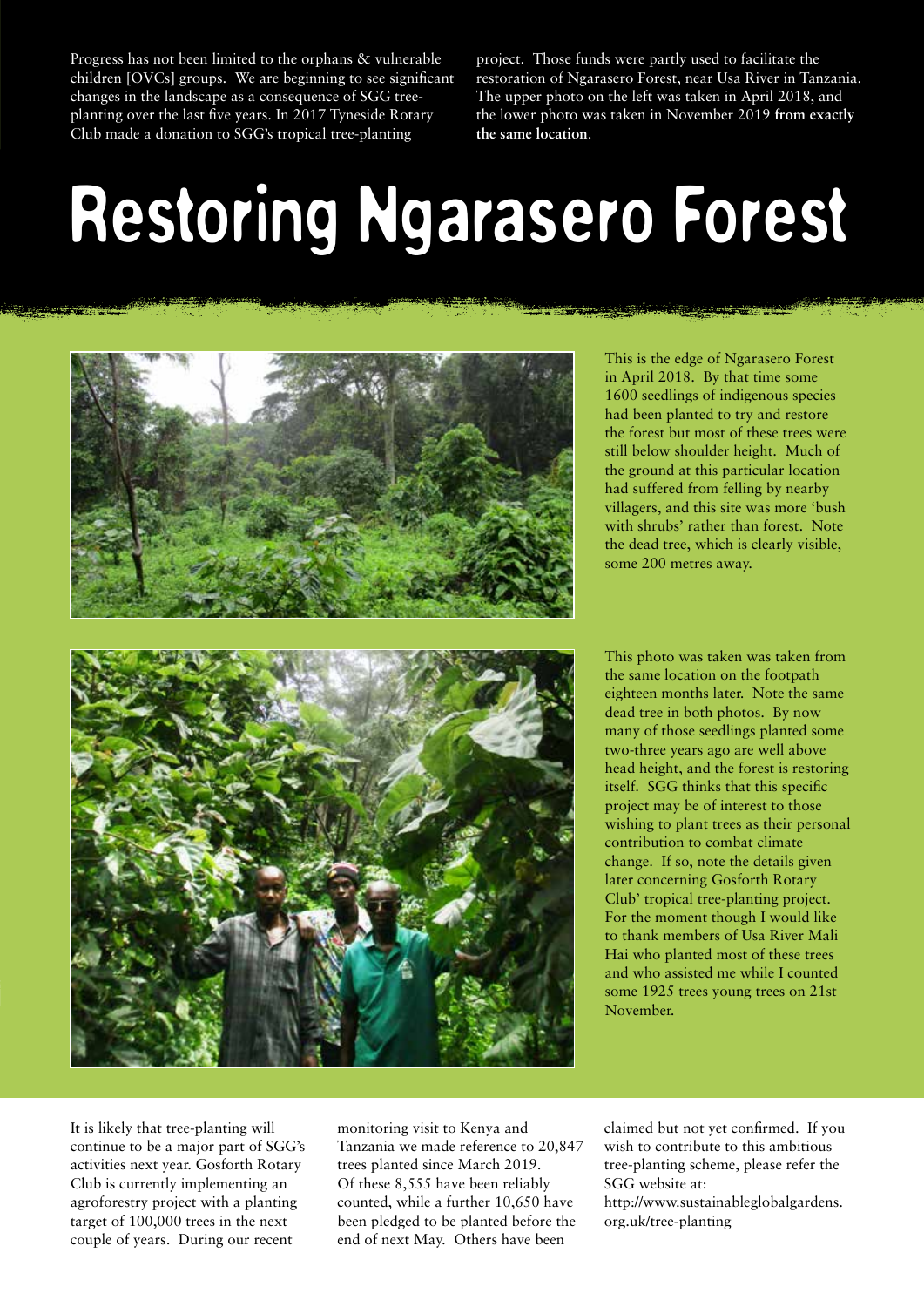Progress has not been limited to the orphans & vulnerable children [OVCs] groups. We are beginning to see significant changes in the landscape as a consequence of SGG treeplanting over the last five years. In 2017 Tyneside Rotary Club made a donation to SGG's tropical tree-planting

project. Those funds were partly used to facilitate the restoration of Ngarasero Forest, near Usa River in Tanzania. The upper photo on the left was taken in April 2018, and the lower photo was taken in November 2019 **from exactly the same location**.

# Restoring Ngarasero Forest



This is the edge of Ngarasero Forest in April 2018. By that time some 1600 seedlings of indigenous species had been planted to try and restore the forest but most of these trees were still below shoulder height. Much of the ground at this particular location had suffered from felling by nearby villagers, and this site was more 'bush with shrubs' rather than forest. Note the dead tree, which is clearly visible, some 200 metres away.

This photo was taken was taken from the same location on the footpath eighteen months later. Note the same dead tree in both photos. By now many of those seedlings planted some two-three years ago are well above head height, and the forest is restoring itself. SGG thinks that this specific project may be of interest to those wishing to plant trees as their personal contribution to combat climate change. If so, note the details given later concerning Gosforth Rotary Club' tropical tree-planting project. For the moment though I would like to thank members of Usa River Mali Hai who planted most of these trees and who assisted me while I counted some 1925 trees young trees on 21st November.

It is likely that tree-planting will continue to be a major part of SGG's activities next year. Gosforth Rotary Club is currently implementing an agroforestry project with a planting target of 100,000 trees in the next couple of years. During our recent

monitoring visit to Kenya and Tanzania we made reference to 20,847 trees planted since March 2019. Of these 8,555 have been reliably counted, while a further 10,650 have been pledged to be planted before the end of next May. Others have been

claimed but not yet confirmed. If you wish to contribute to this ambitious tree-planting scheme, please refer the SGG website at:

[http://www.sustainableglobalgardens.](http://www.sustainableglobalgardens.org.uk/tree-planting) org.uk/tree-planting